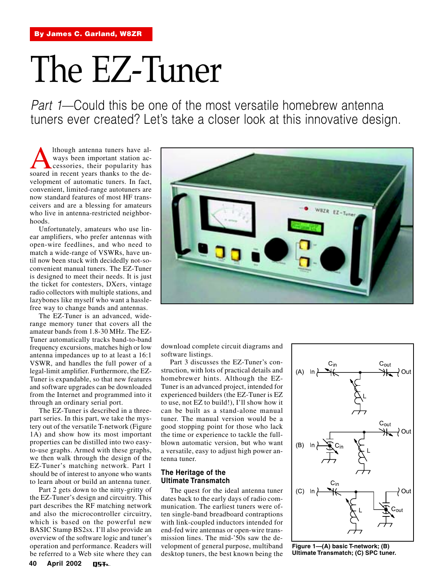# The EZ-Tuner

Part 1—Could this be one of the most versatile homebrew antenna tuners ever created? Let's take a closer look at this innovative design.

Although antenna tuners have al-<br>
ways been important station ac-<br>
soared in recent years thanks to the deways been important station accessories, their popularity has velopment of automatic tuners. In fact, convenient, limited-range autotuners are now standard features of most HF transceivers and are a blessing for amateurs who live in antenna-restricted neighborhoods.

Unfortunately, amateurs who use linear amplifiers, who prefer antennas with open-wire feedlines, and who need to match a wide-range of VSWRs, have until now been stuck with decidedly not-soconvenient manual tuners. The EZ-Tuner is designed to meet their needs. It is just the ticket for contesters, DXers, vintage radio collectors with multiple stations, and lazybones like myself who want a hasslefree way to change bands and antennas.

The EZ-Tuner is an advanced, widerange memory tuner that covers all the amateur bands from 1.8-30 MHz. The EZ-Tuner automatically tracks band-to-band frequency excursions, matches high or low antenna impedances up to at least a 16:1 VSWR, and handles the full power of a legal-limit amplifier. Furthermore, the EZ-Tuner is expandable, so that new features and software upgrades can be downloaded from the Internet and programmed into it through an ordinary serial port.

The EZ-Tuner is described in a threepart series. In this part, we take the mystery out of the versatile T-network (Figure 1A) and show how its most important properties can be distilled into two easyto-use graphs. Armed with these graphs, we then walk through the design of the EZ-Tuner's matching network. Part 1 should be of interest to anyone who wants to learn about or build an antenna tuner.

Part 2 gets down to the nitty-gritty of the EZ-Tuner's design and circuitry. This part describes the RF matching network and also the microcontroller circuitry, which is based on the powerful new BASIC Stamp BS2sx. I'll also provide an overview of the software logic and tuner's operation and performance. Readers will be referred to a Web site where they can



download complete circuit diagrams and software listings.

Part 3 discusses the EZ-Tuner's construction, with lots of practical details and homebrewer hints. Although the EZ-Tuner is an advanced project, intended for experienced builders (the EZ-Tuner is EZ to use, not EZ to build!), I'll show how it can be built as a stand-alone manual tuner. The manual version would be a good stopping point for those who lack the time or experience to tackle the fullblown automatic version, but who want a versatile, easy to adjust high power antenna tuner.

# **The Heritage of the Ultimate Transmatch**

The quest for the ideal antenna tuner dates back to the early days of radio communication. The earliest tuners were often single-band breadboard contraptions with link-coupled inductors intended for end-fed wire antennas or open-wire transmission lines. The mid-'50s saw the development of general purpose, multiband desktop tuners, the best known being the



**Figure 1—(A) basic T-network; (B) Ultimate Transmatch; (C) SPC tuner.**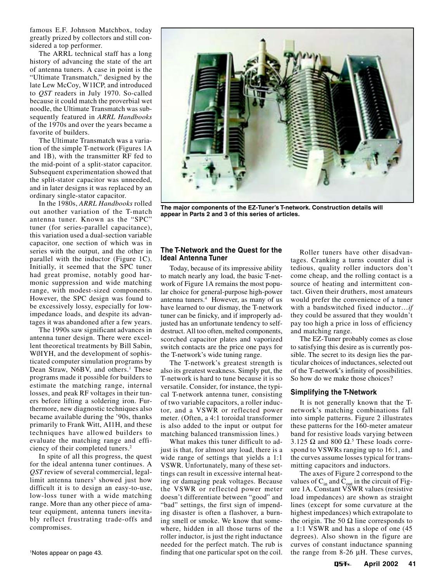famous E.F. Johnson Matchbox, today greatly prized by collectors and still considered a top performer.

The ARRL technical staff has a long history of advancing the state of the art of antenna tuners. A case in point is the "Ultimate Transmatch," designed by the late Lew McCoy, W1ICP, and introduced to *QST* readers in July 1970. So-called because it could match the proverbial wet noodle, the Ultimate Transmatch was subsequently featured in *ARRL Handbooks* of the 1970s and over the years became a favorite of builders.

The Ultimate Transmatch was a variation of the simple T-network (Figures 1A and 1B), with the transmitter RF fed to the mid-point of a split-stator capacitor. Subsequent experimentation showed that the split-stator capacitor was unneeded, and in later designs it was replaced by an ordinary single-stator capacitor.

In the 1980s, *ARRL Handbooks* rolled out another variation of the T-match antenna tuner. Known as the "SPC" tuner (for series-parallel capacitance), this variation used a dual-section variable capacitor, one section of which was in series with the output, and the other in parallel with the inductor (Figure 1C). Initially, it seemed that the SPC tuner had great promise, notably good harmonic suppression and wide matching range, with modest-sized components. However, the SPC design was found to be excessively lossy, especially for lowimpedance loads, and despite its advantages it was abandoned after a few years.

The 1990s saw significant advances in antenna tuner design. There were excellent theoretical treatments by Bill Sabin, WØIYH, and the development of sophisticated computer simulation programs by Dean Straw, N6BV, and others.<sup>1</sup> These programs made it possible for builders to estimate the matching range, internal losses, and peak RF voltages in their tuners before lifting a soldering iron. Furthermore, new diagnostic techniques also became available during the '90s, thanks primarily to Frank Witt, AI1H, and these techniques have allowed builders to evaluate the matching range and efficiency of their completed tuners.2

In spite of all this progress, the quest for the ideal antenna tuner continues. A *QST* review of several commercial, legallimit antenna tuners<sup>3</sup> showed just how difficult it is to design an easy-to-use, low-loss tuner with a wide matching range. More than any other piece of amateur equipment, antenna tuners inevitably reflect frustrating trade-offs and compromises.

Notes appear on page 43.



**The major components of the EZ-Tuner's T-network. Construction details will appear in Parts 2 and 3 of this series of articles.**

# **The T-Network and the Quest for the Ideal Antenna Tuner**

Today, because of its impressive ability to match nearly any load, the basic T-network of Figure 1A remains the most popular choice for general-purpose high-power antenna tuners.4 However, as many of us have learned to our dismay, the T-network tuner can be finicky, and if improperly adjusted has an unfortunate tendency to selfdestruct. All too often, melted components, scorched capacitor plates and vaporized switch contacts are the price one pays for the T-network's wide tuning range.

The T-network's greatest strength is also its greatest weakness. Simply put, the T-network is hard to tune because it is so versatile. Consider, for instance, the typical T-network antenna tuner, consisting of two variable capacitors, a roller inductor, and a VSWR or reflected power meter. (Often, a 4:1 toroidal transformer is also added to the input or output for matching balanced transmission lines.)

What makes this tuner difficult to adjust is that, for almost any load, there is a wide range of settings that yields a 1:1 VSWR. Unfortunately, many of these settings can result in excessive internal heating or damaging peak voltages. Because the VSWR or reflected power meter doesn't differentiate between "good" and "bad" settings, the first sign of impending disaster is often a flashover, a burning smell or smoke. We know that somewhere, hidden in all those turns of the roller inductor, is just the right inductance needed for the perfect match. The rub is finding that one particular spot on the coil. the range from 8-26 µH. These curves, <sup>1</sup>

Roller tuners have other disadvantages. Cranking a turns counter dial is tedious, quality roller inductors don't come cheap, and the rolling contact is a source of heating and intermittent contact. Given their druthers, most amateurs would prefer the convenience of a tuner with a bandswitched fixed inductor…*if* they could be assured that they wouldn't pay too high a price in loss of efficiency and matching range.

The EZ-Tuner probably comes as close to satisfying this desire as is currently possible. The secret to its design lies the particular choices of inductances, selected out of the T-network's infinity of possibilities. So how do we make those choices?

# **Simplifying the T-Network**

It is not generally known that the Tnetwork's matching combinations fall into simple patterns. Figure 2 illustrates these patterns for the 160-meter amateur band for resistive loads varying between 3.125  $\Omega$  and 800  $\Omega$ .<sup>5</sup> These loads correspond to VSWRs ranging up to 16:1, and the curves assume losses typical for transmitting capacitors and inductors.

The axes of Figure 2 correspond to the values of  $C_{in}$  and  $C_{out}$  in the circuit of Figure 1A. Constant VSWR values (resistive load impedances) are shown as straight lines (except for some curvature at the highest impedances) which extrapolate to the origin. The 50  $\Omega$  line corresponds to a 1:1 VSWR and has a slope of one (45 degrees). Also shown in the figure are curves of constant inductance spanning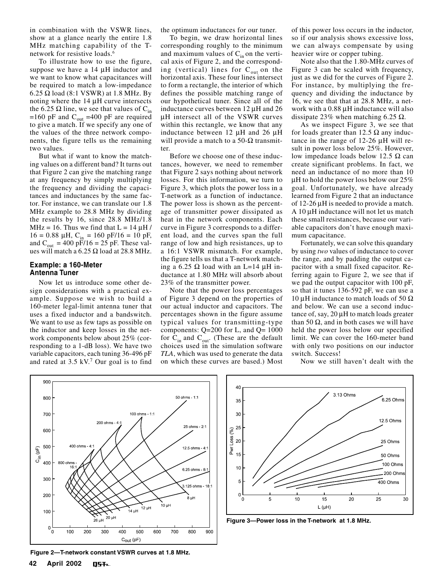in combination with the VSWR lines, show at a glance nearly the entire 1.8 MHz matching capability of the Tnetwork for resistive loads.<sup>6</sup>

To illustrate how to use the figure, suppose we have a 14  $\mu$ H inductor and we want to know what capacitances will be required to match a low-impedance 6.25  $\Omega$  load (8:1 VSWR) at 1.8 MHz. By noting where the 14 µH curve intersects the 6.25  $\Omega$  line, we see that values of C<sub>in</sub> =160 pF and  $C_{\text{out}}$  =400 pF are required to give a match. If we specify any one of the values of the three network components, the figure tells us the remaining two values.

But what if want to know the matching values on a different band? It turns out that Figure 2 can give the matching range at any frequency by simply multiplying the frequency and dividing the capacitances and inductances by the same factor. For instance, we can translate our 1.8 MHz example to 28.8 MHz by dividing the results by 16, since 28.8 MHz/1.8 MHz = 16. Thus we find that  $L = 14 \mu H$  /  $16 = 0.88 \mu H$ , C<sub>in</sub> = 160 pF/16 = 10 pF, and  $C_{\text{out}} = 400 \text{ pF}/16 = 25 \text{ pF}$ . These values will match a  $6.25 \Omega$  load at 28.8 MHz.

### **Example: a 160-Meter Antenna Tuner**

Now let us introduce some other design considerations with a practical example. Suppose we wish to build a 160-meter legal-limit antenna tuner that uses a fixed inductor and a bandswitch. We want to use as few taps as possible on the inductor and keep losses in the network components below about 25% (corresponding to a 1-dB loss). We have two variable capacitors, each tuning 36-496 pF and rated at 3.5 kV.7 Our goal is to find

the optimum inductances for our tuner.

To begin, we draw horizontal lines corresponding roughly to the minimum and maximum values of  $C_{in}$  on the vertical axis of Figure 2, and the corresponding (vertical) lines for  $C_{out}$  on the horizontal axis. These four lines intersect to form a rectangle, the interior of which defines the possible matching range of our hypothetical tuner. Since all of the inductance curves between 12 µH and 26 µH intersect all of the VSWR curves within this rectangle, we know that any inductance between 12 µH and 26 µH will provide a match to a 50- $\Omega$  transmitter.

Before we choose one of these inductances, however, we need to remember that Figure 2 says nothing about network losses. For this information, we turn to Figure 3, which plots the power loss in a T-network as a function of inductance. The power loss is shown as the percentage of transmitter power dissipated as heat in the network components. Each curve in Figure 3 corresponds to a different load, and the curves span the full range of low and high resistances, up to a 16:1 VSWR mismatch. For example, the figure tells us that a T-network matching a 6.25  $\Omega$  load with an L=14  $\mu$ H inductance at 1.80 MHz will absorb about 23% of the transmitter power.

Note that the power loss percentages of Figure 3 depend on the properties of our actual inductor and capacitors. The percentages shown in the figure assume typical values for transmitting-type components:  $Q=200$  for L, and  $Q=1000$ for  $C_{in}$  and  $C_{out}$ . (These are the default choices used in the simulation software *TLA*, which was used to generate the data on which these curves are based.) Most of this power loss occurs in the inductor, so if our analysis shows excessive loss, we can always compensate by using heavier wire or copper tubing.

Note also that the 1.80-MHz curves of Figure 3 can be scaled with frequency, just as we did for the curves of Figure 2. For instance, by multiplying the frequency and dividing the inductance by 16, we see that that at 28.8 MHz, a network with a 0.88 µH inductance will also dissipate 23% when matching 6.25  $\Omega$ .

As we inspect Figure 3, we see that for loads greater than 12.5  $\Omega$  any inductance in the range of 12-26 µH will result in power loss below 25%. However, low impedance loads below 12.5  $\Omega$  can create significant problems. In fact, we need an inductance of no more than 10 µH to hold the power loss below our 25% goal. Unfortunately, we have already learned from Figure 2 that an inductance of 12-26 µH is needed to provide a match. A 10 µH inductance will not let us match these small resistances, because our variable capacitors don't have enough maximum capacitance.

Fortunately, we can solve this quandary by using *two* values of inductance to cover the range, and by padding the output capacitor with a small fixed capacitor. Referring again to Figure 2, we see that if we pad the output capacitor with 100 pF, so that it tunes 136-592 pF, we can use a 10 μH inductance to match loads of 50  $\Omega$ and below. We can use a second inductance of, say, 20 µH to match loads greater than 50  $\Omega$ , and in both cases we will have held the power loss below our specified limit. We can cover the 160-meter band with only two positions on our inductor switch. Success!

Now we still haven't dealt with the



**Figure 2—T-network constant VSWR curves at 1.8 MHz.**



**Figure 3—Power loss in the T-network at 1.8 MHz.**